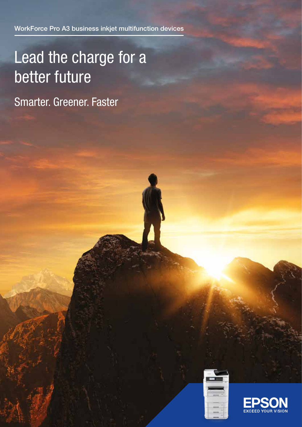WorkForce Pro A3 business inkjet multifunction devices

# Lead the charge for a better future

Smarter. Greener. Faster



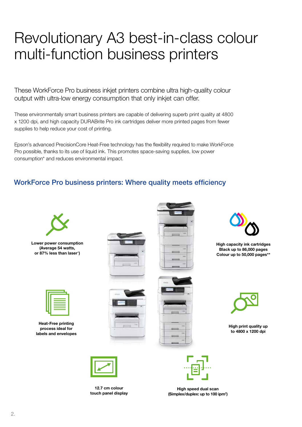## Revolutionary A3 best-in-class colour multi-function business printers

These WorkForce Pro business inkjet printers combine ultra high-quality colour output with ultra-low energy consumption that only inkjet can offer.

These environmentally smart business printers are capable of delivering superb print quality at 4800 x 1200 dpi, and high capacity DURABrite Pro ink cartridges deliver more printed pages from fewer supplies to help reduce your cost of printing.

Epson's advanced PrecisionCore Heat-Free technology has the flexibility required to make WorkForce Pro possible, thanks to its use of liquid ink. This promotes space-saving supplies, low power consumption\* and reduces environmental impact.

#### WorkForce Pro business printers: Where quality meets efficiency



Lower power consumption (Average 54 watts, or 87% less than laser\*)



Heat-Free printing process ideal for labels and envelopes







High capacity ink cartridges Black up to 86,000 pages Colour up to 50,000 pages\*\*

High print quality up to 4800 x 1200 dpi



12.7 cm colour touch panel display





High speed dual scan (Simplex/duplex: up to 100 ipm† )

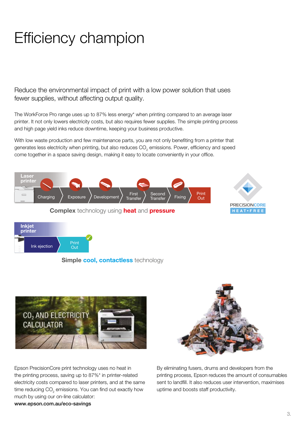## Efficiency champion

Reduce the environmental impact of print with a low power solution that uses fewer supplies, without affecting output quality.

The WorkForce Pro range uses up to 87% less energy\* when printing compared to an average laser printer. It not only lowers electricity costs, but also requires fewer supplies. The simple printing process and high page yield inks reduce downtime, keeping your business productive.

With low waste production and few maintenance parts, you are not only benefiting from a printer that generates less electricity when printing, but also reduces CO<sub>2</sub> emissions. Power, efficiency and speed come together in a space saving design, making it easy to locate conveniently in your office.





Simple cool, contactless technology



Epson PrecisionCore print technology uses no heat in the printing process, saving up to 87%\* in printer-related electricity costs compared to laser printers, and at the same time reducing CO $_{\tiny 2}$  emissions. You can find out exactly how much by using our on-line calculator:



By eliminating fusers, drums and developers from the printing process, Epson reduces the amount of consumables sent to landfill. It also reduces user intervention, maximises uptime and boosts staff productivity.

www.epson.com.au/eco-savings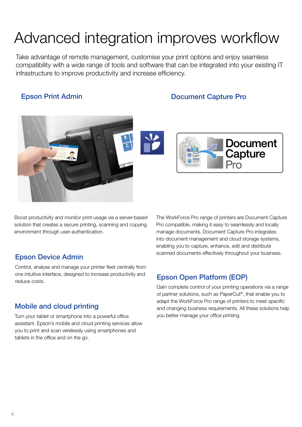## Advanced integration improves workflow

Take advantage of remote management, customise your print options and enjoy seamless compatibility with a wide range of tools and software that can be integrated into your existing IT infrastructure to improve productivity and increase efficiency.

Epson Print Admin **Epson Print Admin** 





Boost productivity and monitor print usage via a server-based solution that creates a secure printing, scanning and copying environment through user-authentication.

Control, analyse and manage your printer fleet centrally from one intuitive interface, designed to increase productivity and one intuitive interface, designed to increase productivity and **Epson Open Platform (EOP)** 

#### Mobile and cloud printing

Turn your tablet or smartphone into a powerful office assistant. Epson's mobile and cloud printing services allow you to print and scan wirelessly using smartphones and tablets in the office and on the go.

The WorkForce Pro range of printers are Document Capture Pro compatible, making it easy to seamlessly and locally manage documents. Document Capture Pro integrates into document management and cloud storage systems, enabling you to capture, enhance, edit and distribute scanned documents effectively throughout your business. Epson Device Admin

Gain complete control of your printing operations via a range of partner solutions, such as PaperCut®, that enable you to adapt the WorkForce Pro range of printers to meet specific and changing business requirements. All these solutions help you better manage your office printing.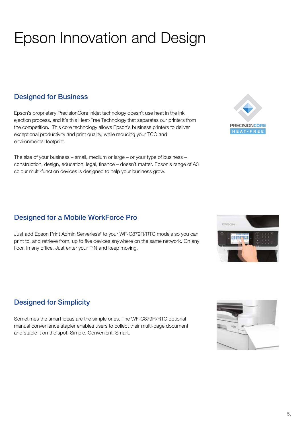# Epson Innovation and Design

### Designed for Business

Epson's proprietary PrecisionCore inkjet technology doesn't use heat in the ink ejection process, and it's this Heat-Free Technology that separates our printers from the competition. This core technology allows Epson's business printers to deliver exceptional productivity and print quality, while reducing your TCO and environmental footprint.

The size of your business – small, medium or large – or your type of business – construction, design, education, legal, finance – doesn't matter. Epson's range of A3 colour multi-function devices is designed to help your business grow.

### Designed for a Mobile WorkForce Pro

Just add Epson Print Admin Serverless‡ to your WF-C879R/RTC models so you can print to, and retrieve from, up to five devices anywhere on the same network. On any floor. In any office. Just enter your PIN and keep moving.

### Designed for Simplicity

Sometimes the smart ideas are the simple ones. The WF-C879R/RTC optional manual convenience stapler enables users to collect their multi-page document and staple it on the spot. Simple. Convenient. Smart.







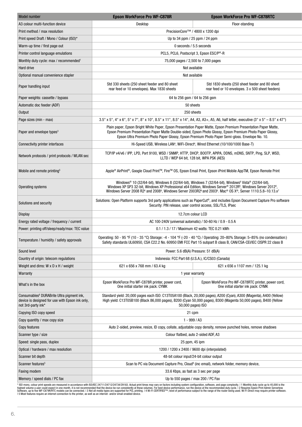| Model number                                                                                                                   | <b>Epson WorkForce Pro WF-C878R</b>                                                                                                                                                                                                                                                                                                                                                                                                                        | <b>Epson WorkForce Pro WF-C878RTC</b>                                                                                             |  |
|--------------------------------------------------------------------------------------------------------------------------------|------------------------------------------------------------------------------------------------------------------------------------------------------------------------------------------------------------------------------------------------------------------------------------------------------------------------------------------------------------------------------------------------------------------------------------------------------------|-----------------------------------------------------------------------------------------------------------------------------------|--|
| A3 colour multi-function device                                                                                                | Desktop                                                                                                                                                                                                                                                                                                                                                                                                                                                    | Floor-standing                                                                                                                    |  |
| Print method / max resolution                                                                                                  |                                                                                                                                                                                                                                                                                                                                                                                                                                                            | PrecisionCore™ / 4800 x 1200 dpi                                                                                                  |  |
| Print speed Draft / Mono / Colour (ISO)*                                                                                       |                                                                                                                                                                                                                                                                                                                                                                                                                                                            | Up to 34 ppm / 25 ppm / 24 ppm                                                                                                    |  |
| Warm-up time / first page out                                                                                                  |                                                                                                                                                                                                                                                                                                                                                                                                                                                            | 0 seconds / 5.5 seconds                                                                                                           |  |
| Printer control language emulations                                                                                            | PCL5, PCL6, Postscript 3, Epson ESC/P®-R                                                                                                                                                                                                                                                                                                                                                                                                                   |                                                                                                                                   |  |
| Monthly duty cycle: max / recommended <sup>1</sup>                                                                             | 75,000 pages / 2,500 to 7,000 pages                                                                                                                                                                                                                                                                                                                                                                                                                        |                                                                                                                                   |  |
| Hard drive                                                                                                                     | Not available                                                                                                                                                                                                                                                                                                                                                                                                                                              |                                                                                                                                   |  |
| Optional manual convenience stapler                                                                                            | Not available                                                                                                                                                                                                                                                                                                                                                                                                                                              |                                                                                                                                   |  |
| Paper handling input                                                                                                           | Std 330 sheets (250 sheet feeder and 80 sheet<br>rear feed or 10 envelopes). Max 1830 sheets                                                                                                                                                                                                                                                                                                                                                               | Std 1830 sheets (250 sheet feeder and 80 sheet<br>rear feed or 10 envelopes. 3 x 500 sheet feeders)                               |  |
| Paper weights: cassette / bypass                                                                                               |                                                                                                                                                                                                                                                                                                                                                                                                                                                            | 64 to 256 gsm / 64 to 256 gsm                                                                                                     |  |
| Automatic doc feeder (ADF)                                                                                                     | 50 sheets                                                                                                                                                                                                                                                                                                                                                                                                                                                  |                                                                                                                                   |  |
| Output                                                                                                                         | 250 sheets                                                                                                                                                                                                                                                                                                                                                                                                                                                 |                                                                                                                                   |  |
| Page sizes (min - max)                                                                                                         |                                                                                                                                                                                                                                                                                                                                                                                                                                                            | 3.5" x 5", 4" x 6", 5" x 7", 8" x 10", 8.5" x 11", 8.5" x 14", A4, A3, A3+, A5, A6, half letter, executive (3" x 5" - 8.5" x 47") |  |
| Paper and envelope types <sup>3</sup>                                                                                          | Plain paper, Epson Bright White Paper, Epson Presentation Paper Matte, Epson Premium Presentation Paper Matte,<br>Epson Premium Presentation Paper Matte Double-sided, Epson Photo Glossy, Epson Premium Photo Paper Glossy,<br>Epson Ultra Premium Photo Paper Glossy, Epson Premium Photo Paper Semi-gloss. Envelope No. 10.                                                                                                                             |                                                                                                                                   |  |
| Connectivity printer interfaces                                                                                                | Hi-Speed USB, Wireless LAN <sup>4</sup> , WiFi-Direct <sup>4</sup> , Wired Ethernet (10/100/1000 Base-T)                                                                                                                                                                                                                                                                                                                                                   |                                                                                                                                   |  |
| Network protocols / print protocols / WLAN sec                                                                                 | TCP/IP v4/v6 / IPP, LPD, Port 9100, WSD / SNMP, HTTP, DHCP, BOOTP, APIPA, DDNS, mDNS, SNTP, Ping, SLP, WSD,<br>LLTD / WEP 64 bit, 128 bit, WPA PSK (AES)                                                                                                                                                                                                                                                                                                   |                                                                                                                                   |  |
| Mobile and remote printing <sup>5</sup>                                                                                        | Apple® AirPrint®, Google Cloud Print™, Fire™ OS, Epson Email Print, Epson iPrint Mobile AppTM, Epson Remote Print                                                                                                                                                                                                                                                                                                                                          |                                                                                                                                   |  |
| Operating systems                                                                                                              | Windows® 10 (32/64-bit), Windows 8 (32/64-bit), Windows 7 (32/64-bit), Windows <sup>6</sup> Vista® (32/64-bit),<br>Windows XP SP3 32-bit, Windows XP Professional x64 Edition, Windows Server® 2012R <sup>6</sup> , Windows Server 2012 <sup>6</sup> ,<br>Windows Server 2008 R2 <sup>6</sup> and 2008 <sup>6</sup> , Windows Server 2003R2 <sup>6</sup> and 2003 <sup>6</sup> . Mac <sup>®</sup> OS X <sup>®</sup> , Server 1110.5.8–10.13.x <sup>7</sup> |                                                                                                                                   |  |
| Solutions and security                                                                                                         | Solutions: Open Platform supports 3rd party applications such as PaperCut®, and includes Epson Document Capture Pro software<br>Security: PIN release, user control access, SSL/TLS, IPsec                                                                                                                                                                                                                                                                 |                                                                                                                                   |  |
| Display                                                                                                                        | 12.7cm colour LCD                                                                                                                                                                                                                                                                                                                                                                                                                                          |                                                                                                                                   |  |
| Energy rated voltage / frequency / current                                                                                     | AC 100-240V (universal automatic) / 50-60 Hz / 0.9 - 0.5 A                                                                                                                                                                                                                                                                                                                                                                                                 |                                                                                                                                   |  |
| Power: printing off/sleep/ready/max: TEC value                                                                                 | 0.1 / 1.3 / 17 / Maximum 42 watts: TEC 0.21 kWh                                                                                                                                                                                                                                                                                                                                                                                                            |                                                                                                                                   |  |
| Temperature / humidity / safety approvals                                                                                      | Operating: 50 - 95 °F (10 - 35 °C) Storage: -4 - 104 °F (-20 - 40 °C) / Operating: 20–80% Storage: 5–85% (no condensation:)                                                                                                                                                                                                                                                                                                                                | Safety standards UL60950, CSA C22.2 No. 60950 EMI FCC Part 15 subpart B class B, CAN/CSA-CEI/IEC CISPR 22 class B                 |  |
| Sound level                                                                                                                    |                                                                                                                                                                                                                                                                                                                                                                                                                                                            | Power: 5.6 dB(A) Pressure: 51 dB(A)                                                                                               |  |
| Country of origin: telecom regulations                                                                                         |                                                                                                                                                                                                                                                                                                                                                                                                                                                            | Indonesia: FCC Part 68 (U.S.A.), IC/CS03 (Canada)                                                                                 |  |
| Weight and dims: W x D x H / weight                                                                                            | 621 x 656 x 768 mm / 63.4 kg                                                                                                                                                                                                                                                                                                                                                                                                                               | 621 x 656 x 1107 mm / 125.1 kg                                                                                                    |  |
| Warranty                                                                                                                       |                                                                                                                                                                                                                                                                                                                                                                                                                                                            | 1 year warranty                                                                                                                   |  |
| What's in the box                                                                                                              | Epson WorkForce Pro WF-C878R printer, power cord,<br>One initial starter ink pack: CYMK                                                                                                                                                                                                                                                                                                                                                                    | Epson WorkForce Pro WF-C878RTC printer, power cord,<br>One initial starter ink pack: CYMK                                         |  |
| Consumables <sup>8</sup> DURABrite Ultra pigment ink,<br>device is designed for use with Epson ink only,<br>not 3rd-party ink* | Standard yield: 20,000 pages each ISO: C13T05A100 (Black, 20,000 pages), A200 (Cyan), A300 (Magenta), A400 (Yellow)<br>High yield: C13T05B100 (Black 86,000 pages), B200 (Cyan 50,000 pages), B300 (Magenta 50,000 pages), B400 (Yellow<br>50,000 pages) ISO                                                                                                                                                                                               |                                                                                                                                   |  |
| Copying ISO copy speed                                                                                                         | 21 cpm                                                                                                                                                                                                                                                                                                                                                                                                                                                     |                                                                                                                                   |  |
| Copy quantity / max copy size                                                                                                  | $1 - 999 / A3$                                                                                                                                                                                                                                                                                                                                                                                                                                             |                                                                                                                                   |  |
| Copy features                                                                                                                  | Auto 2-sided, preview, resize, ID copy, collate, adjustable copy density, remove punched holes, remove shadows                                                                                                                                                                                                                                                                                                                                             |                                                                                                                                   |  |
| Scanner type / size                                                                                                            | Colour flatbed, auto 2-sided ADF, A3                                                                                                                                                                                                                                                                                                                                                                                                                       |                                                                                                                                   |  |
| Speed: single pass, duplex                                                                                                     | 25 ppm, 45 ipm                                                                                                                                                                                                                                                                                                                                                                                                                                             |                                                                                                                                   |  |
| Optical / hardware / max resolution                                                                                            | 1200 / 1200 x 2400 / 9600 dpi (interpolated)                                                                                                                                                                                                                                                                                                                                                                                                               |                                                                                                                                   |  |
| Scanner bit depth                                                                                                              |                                                                                                                                                                                                                                                                                                                                                                                                                                                            | 48-bit colour input/24-bit colour output                                                                                          |  |
| Scanner features <sup>5</sup>                                                                                                  | Scan to PC via Document Capture Pro, Cloud <sup>9</sup> (inc email), network folder, memory device,                                                                                                                                                                                                                                                                                                                                                        |                                                                                                                                   |  |
| Faxing modem                                                                                                                   |                                                                                                                                                                                                                                                                                                                                                                                                                                                            | 33.6 Kbps, as fast as 3 sec per page                                                                                              |  |
| Memory / speed dials / PC fax                                                                                                  |                                                                                                                                                                                                                                                                                                                                                                                                                                                            | Up to 550 pages / max 200 / PC Fax                                                                                                |  |
|                                                                                                                                |                                                                                                                                                                                                                                                                                                                                                                                                                                                            |                                                                                                                                   |  |

\* ISO mono, colour print speeds are measured in accordance with ISO/IEC 24711/24712/24734/29183. Actual print times may vary on factors including system configuration, software, and page complexity. I 1 Monthly duty cycle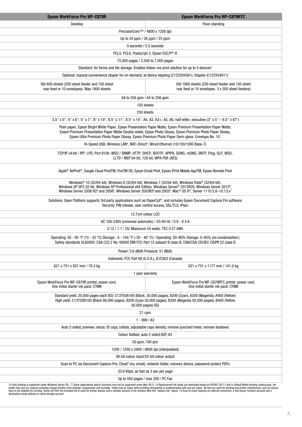| <b>Epson WorkForce Pro WF-C879R</b>                                                           | <b>Epson WorkForce Pro WF-C879RTC</b>                                                                                                                                                                                                                                                                                                                                                                                             |  |
|-----------------------------------------------------------------------------------------------|-----------------------------------------------------------------------------------------------------------------------------------------------------------------------------------------------------------------------------------------------------------------------------------------------------------------------------------------------------------------------------------------------------------------------------------|--|
| Desktop                                                                                       | Floor-standing                                                                                                                                                                                                                                                                                                                                                                                                                    |  |
|                                                                                               | PrecisionCore™ / 4800 x 1200 dpi                                                                                                                                                                                                                                                                                                                                                                                                  |  |
|                                                                                               | Up to 34 ppm / 26 ppm / 25 ppm                                                                                                                                                                                                                                                                                                                                                                                                    |  |
|                                                                                               | 0 seconds / 5.5 seconds                                                                                                                                                                                                                                                                                                                                                                                                           |  |
|                                                                                               | PCL5, PCL6, Postscript 3, Epson ESC/P®-R                                                                                                                                                                                                                                                                                                                                                                                          |  |
|                                                                                               | 75,000 pages / 2,500 to 7,000 pages                                                                                                                                                                                                                                                                                                                                                                                               |  |
|                                                                                               | Standard: for forms and file storage. Enables follow-me print solution for up to 5 devices <sup>2</sup>                                                                                                                                                                                                                                                                                                                           |  |
|                                                                                               | Optional: manual convenience stapler for on-demand, at device stapling (C12C934361). Staples (C12C934911)                                                                                                                                                                                                                                                                                                                         |  |
| Std 400 sheets (250 sheet feeder and 150 sheet<br>rear feed or 10 envelopes). Max 1900 sheets | Std 1900 sheets (250 sheet feeder and 150 sheet<br>rear feed or 10 envelopes. 3 x 500 sheet feeders)                                                                                                                                                                                                                                                                                                                              |  |
|                                                                                               | 64 to 256 gsm / 64 to 256 gsm                                                                                                                                                                                                                                                                                                                                                                                                     |  |
|                                                                                               | 150 sheets                                                                                                                                                                                                                                                                                                                                                                                                                        |  |
|                                                                                               | 250 sheets                                                                                                                                                                                                                                                                                                                                                                                                                        |  |
|                                                                                               | 3.5" x 5", 4" x 6", 5" x 7", 8" x 10", 8.5" x 11", 8.5" x 14", A4, A3, A3+, A5, A6, half letter, executive (3" x 5" - 8.5" x 47")                                                                                                                                                                                                                                                                                                 |  |
|                                                                                               | Plain paper, Epson Bright White Paper, Epson Presentation Paper Matte, Epson Premium Presentation Paper Matte,<br>Epson Premium Presentation Paper Matte Double-sided, Epson Photo Glossy, Epson Premium Photo Paper Glossy,<br>Epson Ultra Premium Photo Paper Glossy, Epson Premium Photo Paper Semi-gloss. Envelope No. 10.                                                                                                    |  |
|                                                                                               | Hi-Speed USB, Wireless LAN <sup>4</sup> , WiFi-Direct <sup>4</sup> , Wired Ethernet (10/100/1000 Base-T)                                                                                                                                                                                                                                                                                                                          |  |
|                                                                                               | TCP/IP v4/v6 / IPP, LPD, Port 9100, WSD / SNMP, HTTP, DHCP, BOOTP, APIPA, DDNS, mDNS, SNTP, Ping, SLP, WSD,<br>LLTD / WEP 64 bit. 128 bit. WPA PSK (AES)                                                                                                                                                                                                                                                                          |  |
|                                                                                               | Apple® AirPrint®, Google Cloud PrintTM, FireTM OS, Epson Email Print, Epson iPrint Mobile AppTM, Epson Remote Print                                                                                                                                                                                                                                                                                                               |  |
|                                                                                               | Windows® 10 (32/64-bit), Windows 8 (32/64-bit), Windows 7 (32/64-bit), Windows Vista® (32/64-bit),<br>Windows XP SP3 32-bit, Windows XP Professional x64 Edition, Windows Server® 2012R26, Windows Server 2012 <sup>6</sup> ,<br>Windows Server 2008 R2 <sup>6</sup> and 2008 <sup>6</sup> , Windows Server 2003R2 <sup>6</sup> and 2003 <sup>6</sup> . Mac <sup>®</sup> OS X <sup>®</sup> , Server 1110.5.8-10.13.x <sup>7</sup> |  |
|                                                                                               | Solutions: Open Platform supports 3rd party applications such as PaperCut®, and includes Epson Document Capture Pro software<br>Security: PIN release, user control access, SSL/TLS, IPsec                                                                                                                                                                                                                                        |  |
|                                                                                               | 12.7cm colour LCD                                                                                                                                                                                                                                                                                                                                                                                                                 |  |
|                                                                                               | AC 100-240V (universal automatic) / 50-60 Hz / 0.9 - 0.5 A                                                                                                                                                                                                                                                                                                                                                                        |  |
|                                                                                               | 0.15 / 1.1 / 25/ Maximum 54 watts: TEC 0.27 kWh                                                                                                                                                                                                                                                                                                                                                                                   |  |
|                                                                                               | Operating: 50 - 95 °F (10 - 35 °C) Storage: -4 - 104 °F (-20 - 40 °C) / Operating: 20-80% Storage: 5-85% (no condensation:)<br>Safety standards UL60950, CSA C22.2 No. 60950 EMI FCC Part 15 subpart B class B, CAN/CSA-CEI/IEC CISPR 22 class B                                                                                                                                                                                  |  |
|                                                                                               | Power: 5.6 dB(A) Pressure: 51 dB(A)                                                                                                                                                                                                                                                                                                                                                                                               |  |
| 621 x 751 x 837 mm / 79.3 kg                                                                  | Indonesia: FCC Part 68 (U.S.A.), IC/CS03 (Canada)<br>621 x 751 x 1177 mm / 141.0 kg                                                                                                                                                                                                                                                                                                                                               |  |
|                                                                                               | 1 year warranty                                                                                                                                                                                                                                                                                                                                                                                                                   |  |
| Epson WorkForce Pro WF-C879R printer, power cord,<br>One initial starter ink pack: CYMK       | Epson WorkForce Pro WF-C879RTC printer, power cord,<br>One initial starter ink pack: CYMK                                                                                                                                                                                                                                                                                                                                         |  |
|                                                                                               | Standard yield: 20,000 pages each ISO: C13T05A100 (Black, 20,000 pages), A200 (Cyan), A300 (Magenta), A400 (Yellow)<br>High yield: C13T05B100 (Black 86,000 pages), B200 (Cyan 50,000 pages), B300 (Magenta 50,000 pages), B400 (Yellow<br>50,000 pages) ISO                                                                                                                                                                      |  |
|                                                                                               | 21 cpm                                                                                                                                                                                                                                                                                                                                                                                                                            |  |
|                                                                                               | $1 - 999 / A3$                                                                                                                                                                                                                                                                                                                                                                                                                    |  |
|                                                                                               | Auto 2-sided, preview, resize, ID copy, collate, adjustable copy density, remove punched holes, remove shadows                                                                                                                                                                                                                                                                                                                    |  |
|                                                                                               | Colour flatbed, auto 2-sided ADF, A3                                                                                                                                                                                                                                                                                                                                                                                              |  |
|                                                                                               | 50 ppm, 100 ipm                                                                                                                                                                                                                                                                                                                                                                                                                   |  |
|                                                                                               | 1200 / 1200 x 2400 / 9600 dpi (interpolated)                                                                                                                                                                                                                                                                                                                                                                                      |  |
|                                                                                               | 48-bit colour input/24-bit colour output                                                                                                                                                                                                                                                                                                                                                                                          |  |
|                                                                                               | Scan to PC via Document Capture Pro, Cloud <sup>9</sup> (inc email), network folder, memory device, password protect PDFs                                                                                                                                                                                                                                                                                                         |  |
|                                                                                               | 33.6 Kbps, as fast as 3 sec per page                                                                                                                                                                                                                                                                                                                                                                                              |  |
|                                                                                               | Up to 550 pages / max 200 / PC Fax                                                                                                                                                                                                                                                                                                                                                                                                |  |

l 6 Only printing is supported under Windows Server OS. I 7 Some applications and/or functions may not be supported under Mac OS X. I 8 Replacement ink yields are estimated based on ISO/IEC 24711 test in Default Mode print